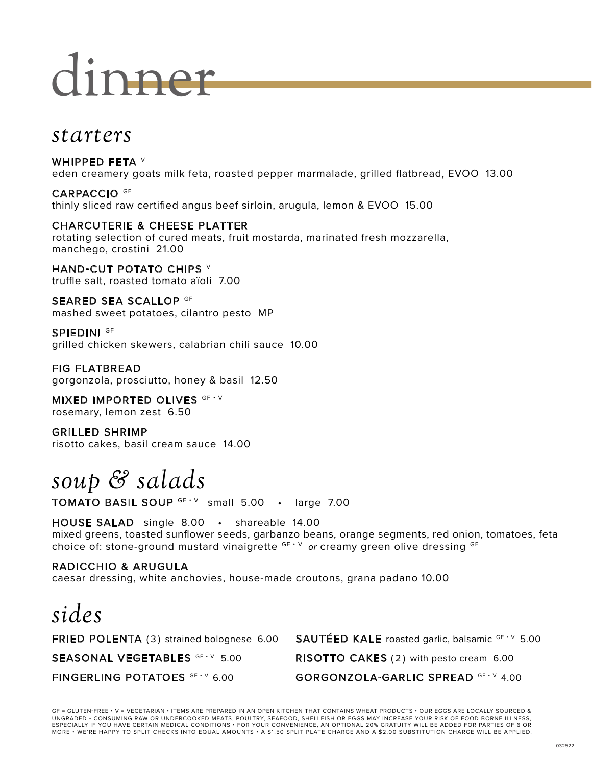# dinner

### *starters*

WHIPPED FETA V eden creamery goats milk feta, roasted pepper marmalade, grilled flatbread, EVOO 13.00

CARPACCIO GF thinly sliced raw certified angus beef sirloin, arugula, lemon & EVOO 15.00

#### CHARCUTERIE & CHEESE PLATTER rotating selection of cured meats, fruit mostarda, marinated fresh mozzarella, manchego, crostini 21.00

HAND-CUT POTATO CHIPS V truffle salt, roasted tomato aïoli 7.00

SEARED SEA SCALLOP GF mashed sweet potatoes, cilantro pesto MP

SPIEDINI <sup>GF</sup> grilled chicken skewers, calabrian chili sauce 10.00

FIG FLATBREAD gorgonzola, prosciutto, honey & basil 12.50

MIXED IMPORTED OLIVES GF · V rosemary, lemon zest 6.50

GRILLED SHRIMP risotto cakes, basil cream sauce 14.00

# *soup & salads*

TOMATO BASIL SOUP GF · V small 5.00 · large 7.00

HOUSE SALAD single 8.00 • shareable 14.00 mixed greens, toasted sunflower seeds, garbanzo beans, orange segments, red onion, tomatoes, feta choice of: stone-ground mustard vinaigrette GF · V or creamy green olive dressing GF

#### RADICCHIO & ARUGULA

caesar dressing, white anchovies, house-made croutons, grana padano 10.00

# *sides*

**FRIED POLENTA** (3) strained bolognese 6.00 **SAUTÉED KALE** roasted garlic, balsamic  $GF \vee 5.00$ SEASONAL VEGETABLES GF · V 5.00 RISOTTO CAKES (2) with pesto cream 6.00 FINGERLING POTATOES GF · V 6.00 GORGONZOLA-GARLIC SPREAD GF · V 4.00

GF = GLUTEN-FREE • V = VEGETARIAN • ITEMS ARE PREPARED IN AN OPEN KITCHEN THAT CONTAINS WHEAT PRODUCTS • OUR EGGS ARE LOCALLY SOURCED & UNGRADED • CONSUMING RAW OR UNDERCOOKED MEATS, POULTRY, SEAFOOD, SHELLFISH OR EGGS MAY INCREASE YOUR RISK OF FOOD BORNE ILLNESS,<br>ESPECIALLY IF YOU HAVE CERTAIN MEDICAL CONDITIONS • FOR YOUR CONVENIENCE, AN OPTIONAL 20% GRA MORE • WE'RE HAPPY TO SPLIT CHECKS INTO EQUAL AMOUNTS • A \$1.50 SPLIT PLATE CHARGE AND A \$2.00 SUBSTITUTION CHARGE WILL BE APPLIED.